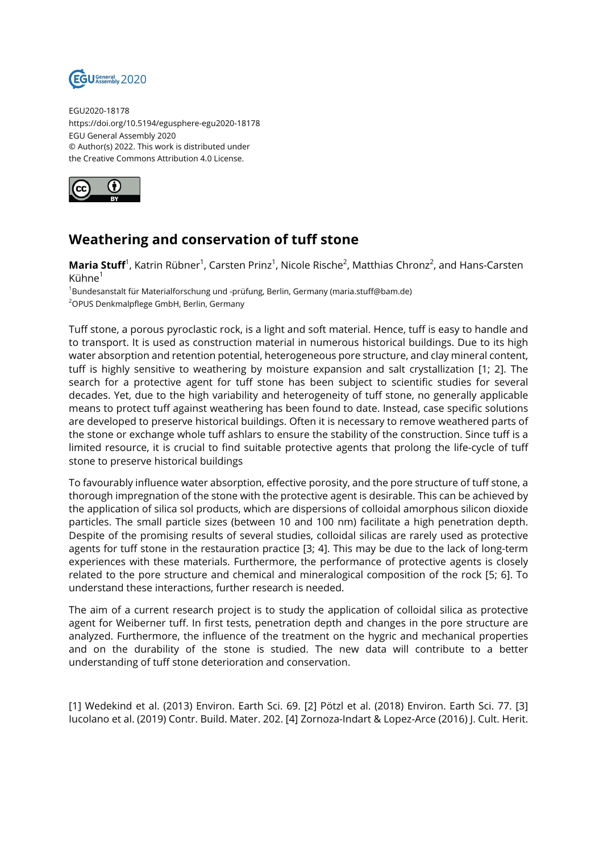

EGU2020-18178 https://doi.org/10.5194/egusphere-egu2020-18178 EGU General Assembly 2020 © Author(s) 2022. This work is distributed under the Creative Commons Attribution 4.0 License.



## **Weathering and conservation of tuff stone**

**Maria Stuff**<sup>1</sup>, Katrin Rübner<sup>1</sup>, Carsten Prinz<sup>1</sup>, Nicole Rische<sup>2</sup>, Matthias Chronz<sup>2</sup>, and Hans-Carsten Kühne<sup>1</sup>

<sup>1</sup>Bundesanstalt für Materialforschung und -prüfung, Berlin, Germany (maria.stuff@bam.de) <sup>2</sup>OPUS Denkmalpflege GmbH, Berlin, Germany

Tuff stone, a porous pyroclastic rock, is a light and soft material. Hence, tuff is easy to handle and to transport. It is used as construction material in numerous historical buildings. Due to its high water absorption and retention potential, heterogeneous pore structure, and clay mineral content, tuff is highly sensitive to weathering by moisture expansion and salt crystallization [1; 2]. The search for a protective agent for tuff stone has been subject to scientific studies for several decades. Yet, due to the high variability and heterogeneity of tuff stone, no generally applicable means to protect tuff against weathering has been found to date. Instead, case specific solutions are developed to preserve historical buildings. Often it is necessary to remove weathered parts of the stone or exchange whole tuff ashlars to ensure the stability of the construction. Since tuff is a limited resource, it is crucial to find suitable protective agents that prolong the life-cycle of tuff stone to preserve historical buildings

To favourably influence water absorption, effective porosity, and the pore structure of tuff stone, a thorough impregnation of the stone with the protective agent is desirable. This can be achieved by the application of silica sol products, which are dispersions of colloidal amorphous silicon dioxide particles. The small particle sizes (between 10 and 100 nm) facilitate a high penetration depth. Despite of the promising results of several studies, colloidal silicas are rarely used as protective agents for tuff stone in the restauration practice [3; 4]. This may be due to the lack of long-term experiences with these materials. Furthermore, the performance of protective agents is closely related to the pore structure and chemical and mineralogical composition of the rock [5; 6]. To understand these interactions, further research is needed.

The aim of a current research project is to study the application of colloidal silica as protective agent for Weiberner tuff. In first tests, penetration depth and changes in the pore structure are analyzed. Furthermore, the influence of the treatment on the hygric and mechanical properties and on the durability of the stone is studied. The new data will contribute to a better understanding of tuff stone deterioration and conservation.

[1] Wedekind et al. (2013) Environ. Earth Sci. 69. [2] Pötzl et al. (2018) Environ. Earth Sci. 77. [3] Iucolano et al. (2019) Contr. Build. Mater. 202. [4] Zornoza-Indart & Lopez-Arce (2016) J. Cult. Herit.